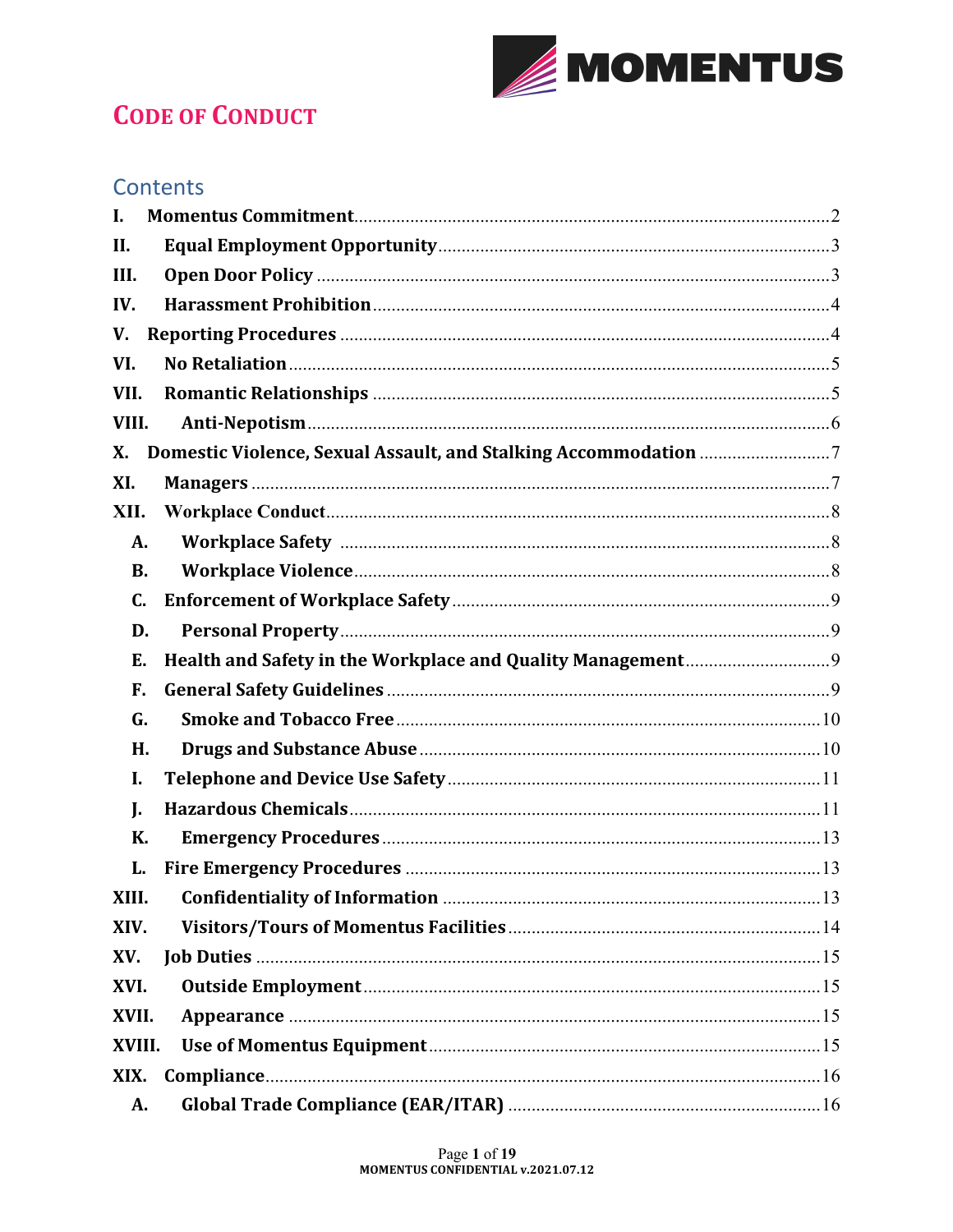

# **CODE OF CONDUCT**

## **Contents**

| L         |  |
|-----------|--|
| II.       |  |
| III.      |  |
| IV.       |  |
| V.        |  |
| VI.       |  |
| VII.      |  |
| VIII.     |  |
| X.        |  |
| XI.       |  |
| XII.      |  |
| А.        |  |
| <b>B.</b> |  |
| C.        |  |
| D.        |  |
| Е.        |  |
| F.        |  |
| G.        |  |
| Н.        |  |
| I.        |  |
| L.        |  |
| К.        |  |
| L.        |  |
| XIII.     |  |
| XIV.      |  |
| XV.       |  |
| XVI.      |  |
| XVII.     |  |
| XVIII.    |  |
| XIX.      |  |
|           |  |
| A.        |  |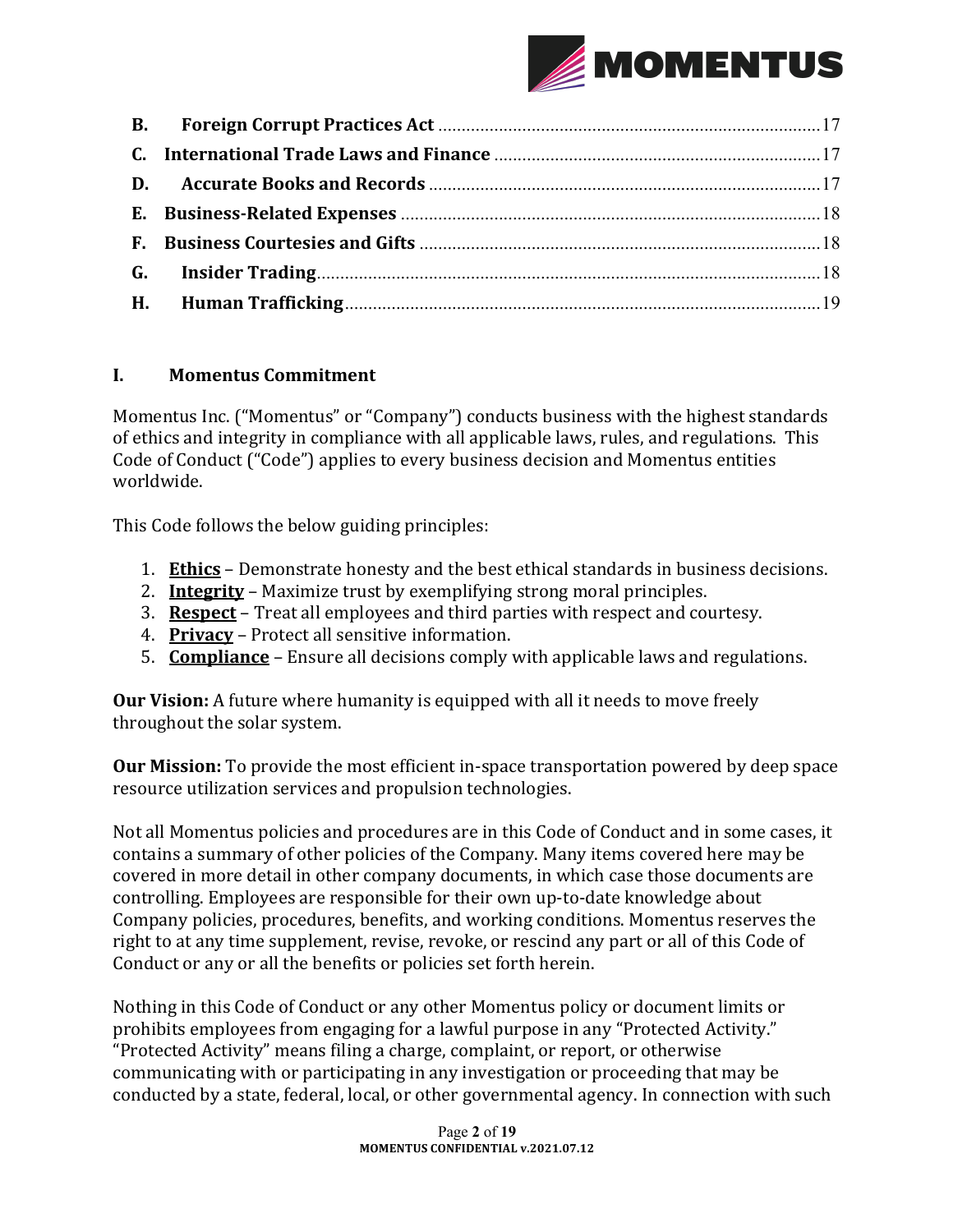

#### **I. Momentus Commitment**

Momentus Inc. ("Momentus" or "Company") conducts business with the highest standards of ethics and integrity in compliance with all applicable laws, rules, and regulations. This Code of Conduct ("Code") applies to every business decision and Momentus entities worldwide. 

This Code follows the below guiding principles:

- 1. **Ethics** Demonstrate honesty and the best ethical standards in business decisions.
- 2. **Integrity** Maximize trust by exemplifying strong moral principles.
- 3. **Respect** Treat all employees and third parties with respect and courtesy.
- 4. **Privacy** Protect all sensitive information.
- 5. **Compliance** Ensure all decisions comply with applicable laws and regulations.

**Our Vision:** A future where humanity is equipped with all it needs to move freely throughout the solar system.

**Our Mission:** To provide the most efficient in-space transportation powered by deep space resource utilization services and propulsion technologies.

Not all Momentus policies and procedures are in this Code of Conduct and in some cases, it contains a summary of other policies of the Company. Many items covered here may be covered in more detail in other company documents, in which case those documents are controlling. Employees are responsible for their own up-to-date knowledge about Company policies, procedures, benefits, and working conditions. Momentus reserves the right to at any time supplement, revise, revoke, or rescind any part or all of this Code of Conduct or any or all the benefits or policies set forth herein.

Nothing in this Code of Conduct or any other Momentus policy or document limits or prohibits employees from engaging for a lawful purpose in any "Protected Activity." "Protected Activity" means filing a charge, complaint, or report, or otherwise communicating with or participating in any investigation or proceeding that may be conducted by a state, federal, local, or other governmental agency. In connection with such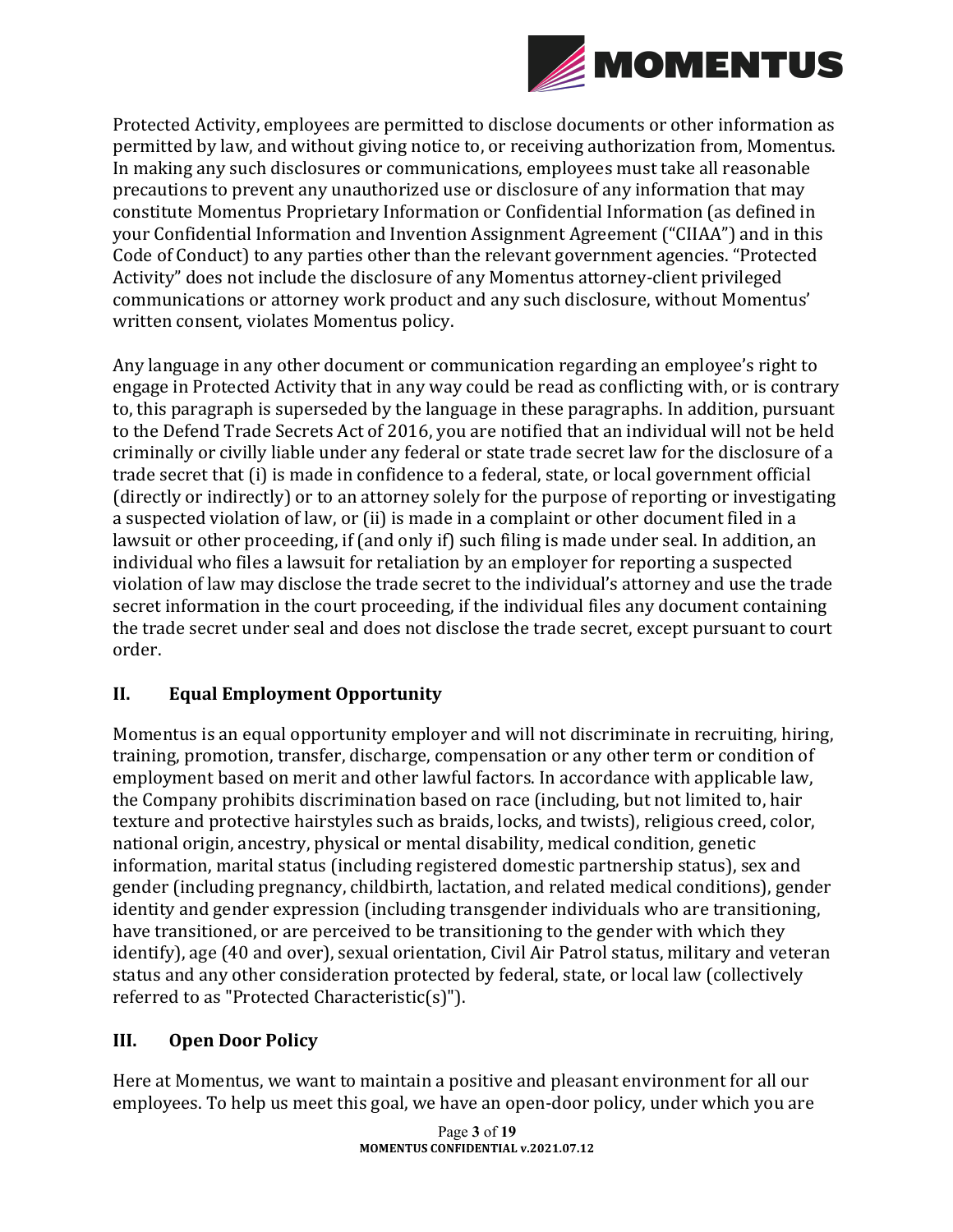

Protected Activity, employees are permitted to disclose documents or other information as permitted by law, and without giving notice to, or receiving authorization from, Momentus. In making any such disclosures or communications, employees must take all reasonable precautions to prevent any unauthorized use or disclosure of any information that may constitute Momentus Proprietary Information or Confidential Information (as defined in your Confidential Information and Invention Assignment Agreement ("CIIAA") and in this Code of Conduct) to any parties other than the relevant government agencies. "Protected Activity" does not include the disclosure of any Momentus attorney-client privileged communications or attorney work product and any such disclosure, without Momentus' written consent, violates Momentus policy.

Any language in any other document or communication regarding an employee's right to engage in Protected Activity that in any way could be read as conflicting with, or is contrary to, this paragraph is superseded by the language in these paragraphs. In addition, pursuant to the Defend Trade Secrets Act of 2016, you are notified that an individual will not be held criminally or civilly liable under any federal or state trade secret law for the disclosure of a trade secret that (i) is made in confidence to a federal, state, or local government official (directly or indirectly) or to an attorney solely for the purpose of reporting or investigating a suspected violation of law, or (ii) is made in a complaint or other document filed in a lawsuit or other proceeding, if (and only if) such filing is made under seal. In addition, an individual who files a lawsuit for retaliation by an employer for reporting a suspected violation of law may disclose the trade secret to the individual's attorney and use the trade secret information in the court proceeding, if the individual files any document containing the trade secret under seal and does not disclose the trade secret, except pursuant to court order.

### **II. Equal Employment Opportunity**

Momentus is an equal opportunity employer and will not discriminate in recruiting, hiring, training, promotion, transfer, discharge, compensation or any other term or condition of employment based on merit and other lawful factors. In accordance with applicable law, the Company prohibits discrimination based on race (including, but not limited to, hair texture and protective hairstyles such as braids, locks, and twists), religious creed, color, national origin, ancestry, physical or mental disability, medical condition, genetic information, marital status (including registered domestic partnership status), sex and gender (including pregnancy, childbirth, lactation, and related medical conditions), gender identity and gender expression (including transgender individuals who are transitioning, have transitioned, or are perceived to be transitioning to the gender with which they identify), age (40 and over), sexual orientation, Civil Air Patrol status, military and veteran status and any other consideration protected by federal, state, or local law (collectively referred to as "Protected Characteristic(s)").

### **III.** Open Door Policy

Here at Momentus, we want to maintain a positive and pleasant environment for all our employees. To help us meet this goal, we have an open-door policy, under which you are

> Page **3** of **19 MOMENTUS CONFIDENTIAL v.2021.07.12**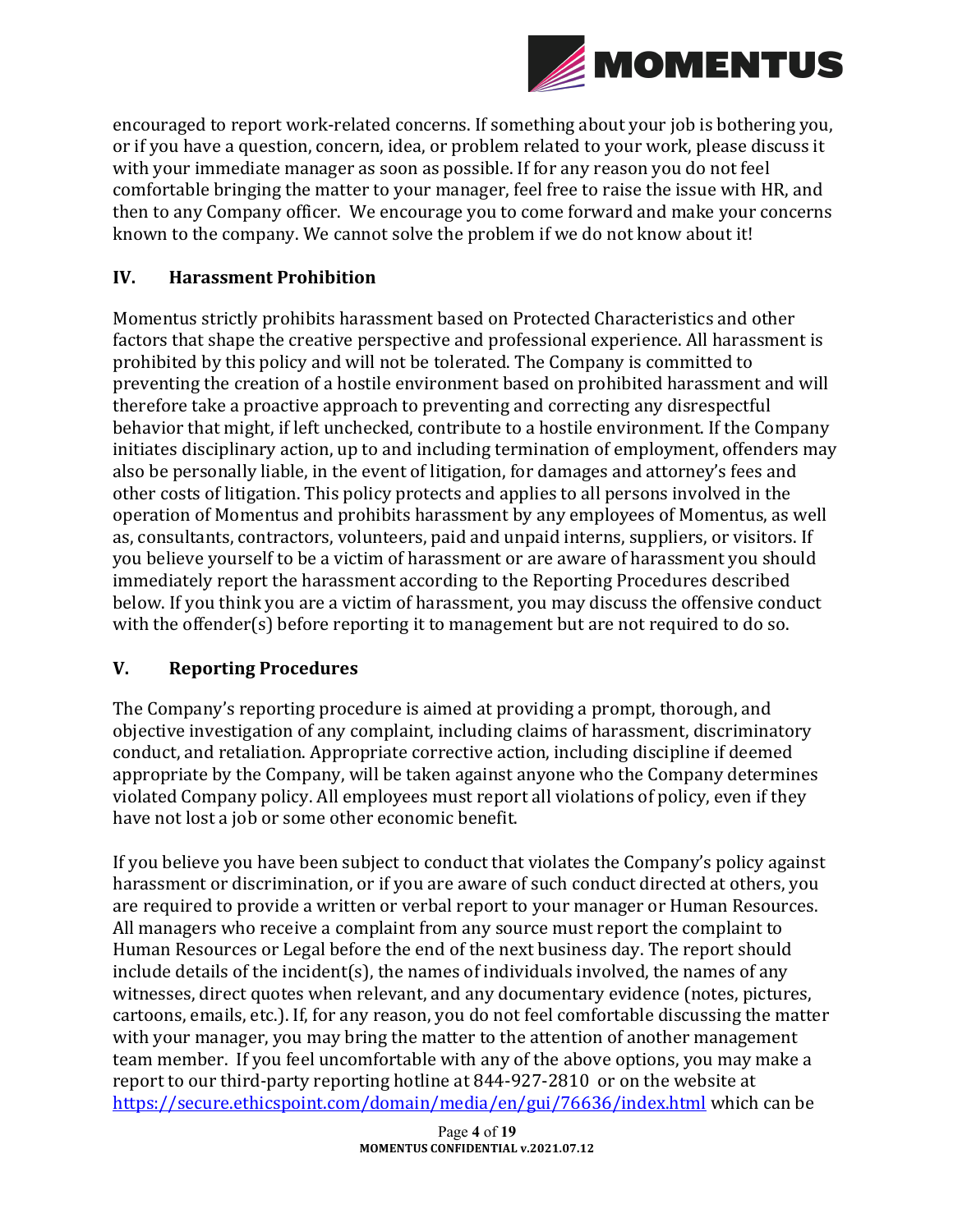

encouraged to report work-related concerns. If something about your job is bothering you, or if you have a question, concern, idea, or problem related to your work, please discuss it with your immediate manager as soon as possible. If for any reason you do not feel comfortable bringing the matter to your manager, feel free to raise the issue with HR, and then to any Company officer. We encourage you to come forward and make your concerns known to the company. We cannot solve the problem if we do not know about it!

### **IV. Harassment Prohibition**

Momentus strictly prohibits harassment based on Protected Characteristics and other factors that shape the creative perspective and professional experience. All harassment is prohibited by this policy and will not be tolerated. The Company is committed to preventing the creation of a hostile environment based on prohibited harassment and will therefore take a proactive approach to preventing and correcting any disrespectful behavior that might, if left unchecked, contribute to a hostile environment. If the Company initiates disciplinary action, up to and including termination of employment, offenders may also be personally liable, in the event of litigation, for damages and attorney's fees and other costs of litigation. This policy protects and applies to all persons involved in the operation of Momentus and prohibits harassment by any employees of Momentus, as well as, consultants, contractors, volunteers, paid and unpaid interns, suppliers, or visitors. If you believe yourself to be a victim of harassment or are aware of harassment you should immediately report the harassment according to the Reporting Procedures described below. If you think you are a victim of harassment, you may discuss the offensive conduct with the offender(s) before reporting it to management but are not required to do so.

### **V. Reporting Procedures**

The Company's reporting procedure is aimed at providing a prompt, thorough, and objective investigation of any complaint, including claims of harassment, discriminatory conduct, and retaliation. Appropriate corrective action, including discipline if deemed appropriate by the Company, will be taken against anyone who the Company determines violated Company policy. All employees must report all violations of policy, even if they have not lost a job or some other economic benefit.

If you believe you have been subject to conduct that violates the Company's policy against harassment or discrimination, or if you are aware of such conduct directed at others, you are required to provide a written or verbal report to your manager or Human Resources. All managers who receive a complaint from any source must report the complaint to Human Resources or Legal before the end of the next business day. The report should include details of the incident(s), the names of individuals involved, the names of any witnesses, direct quotes when relevant, and any documentary evidence (notes, pictures, cartoons, emails, etc.). If, for any reason, you do not feel comfortable discussing the matter with your manager, you may bring the matter to the attention of another management team member. If you feel uncomfortable with any of the above options, you may make a report to our third-party reporting hotline at 844-927-2810 or on the website at https://secure.ethicspoint.com/domain/media/en/gui/76636/index.html which can be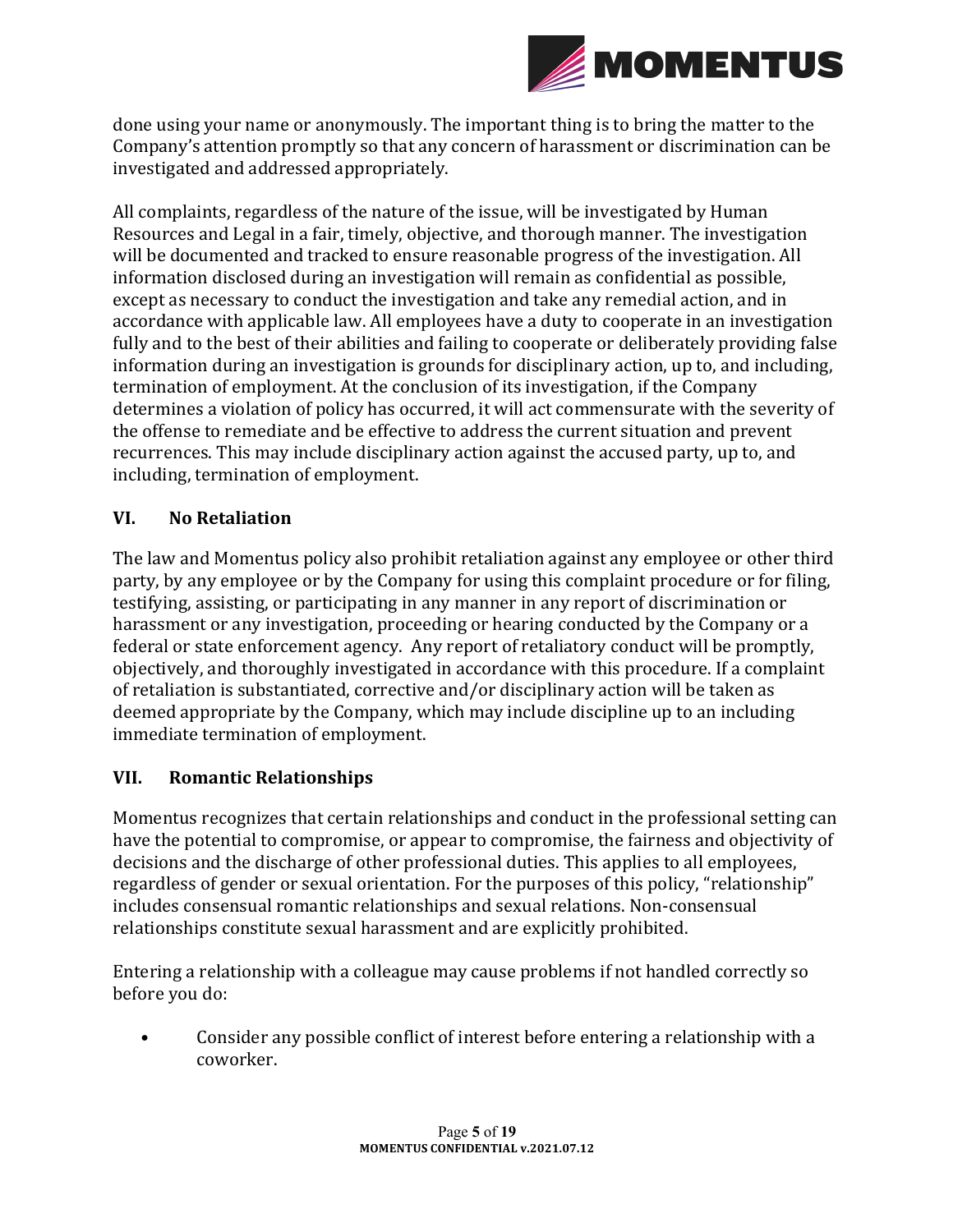

done using your name or anonymously. The important thing is to bring the matter to the Company's attention promptly so that any concern of harassment or discrimination can be investigated and addressed appropriately.

All complaints, regardless of the nature of the issue, will be investigated by Human Resources and Legal in a fair, timely, objective, and thorough manner. The investigation will be documented and tracked to ensure reasonable progress of the investigation. All information disclosed during an investigation will remain as confidential as possible, except as necessary to conduct the investigation and take any remedial action, and in accordance with applicable law. All employees have a duty to cooperate in an investigation fully and to the best of their abilities and failing to cooperate or deliberately providing false information during an investigation is grounds for disciplinary action, up to, and including, termination of employment. At the conclusion of its investigation, if the Company determines a violation of policy has occurred, it will act commensurate with the severity of the offense to remediate and be effective to address the current situation and prevent recurrences. This may include disciplinary action against the accused party, up to, and including, termination of employment.

### **VI. No Retaliation**

The law and Momentus policy also prohibit retaliation against any employee or other third party, by any employee or by the Company for using this complaint procedure or for filing, testifying, assisting, or participating in any manner in any report of discrimination or harassment or any investigation, proceeding or hearing conducted by the Company or a federal or state enforcement agency. Any report of retaliatory conduct will be promptly, objectively, and thoroughly investigated in accordance with this procedure. If a complaint of retaliation is substantiated, corrective and/or disciplinary action will be taken as deemed appropriate by the Company, which may include discipline up to an including immediate termination of employment.

#### **VII. Romantic Relationships**

Momentus recognizes that certain relationships and conduct in the professional setting can have the potential to compromise, or appear to compromise, the fairness and objectivity of decisions and the discharge of other professional duties. This applies to all employees, regardless of gender or sexual orientation. For the purposes of this policy, "relationship" includes consensual romantic relationships and sexual relations. Non-consensual relationships constitute sexual harassment and are explicitly prohibited.

Entering a relationship with a colleague may cause problems if not handled correctly so before you do:

• Consider any possible conflict of interest before entering a relationship with a coworker.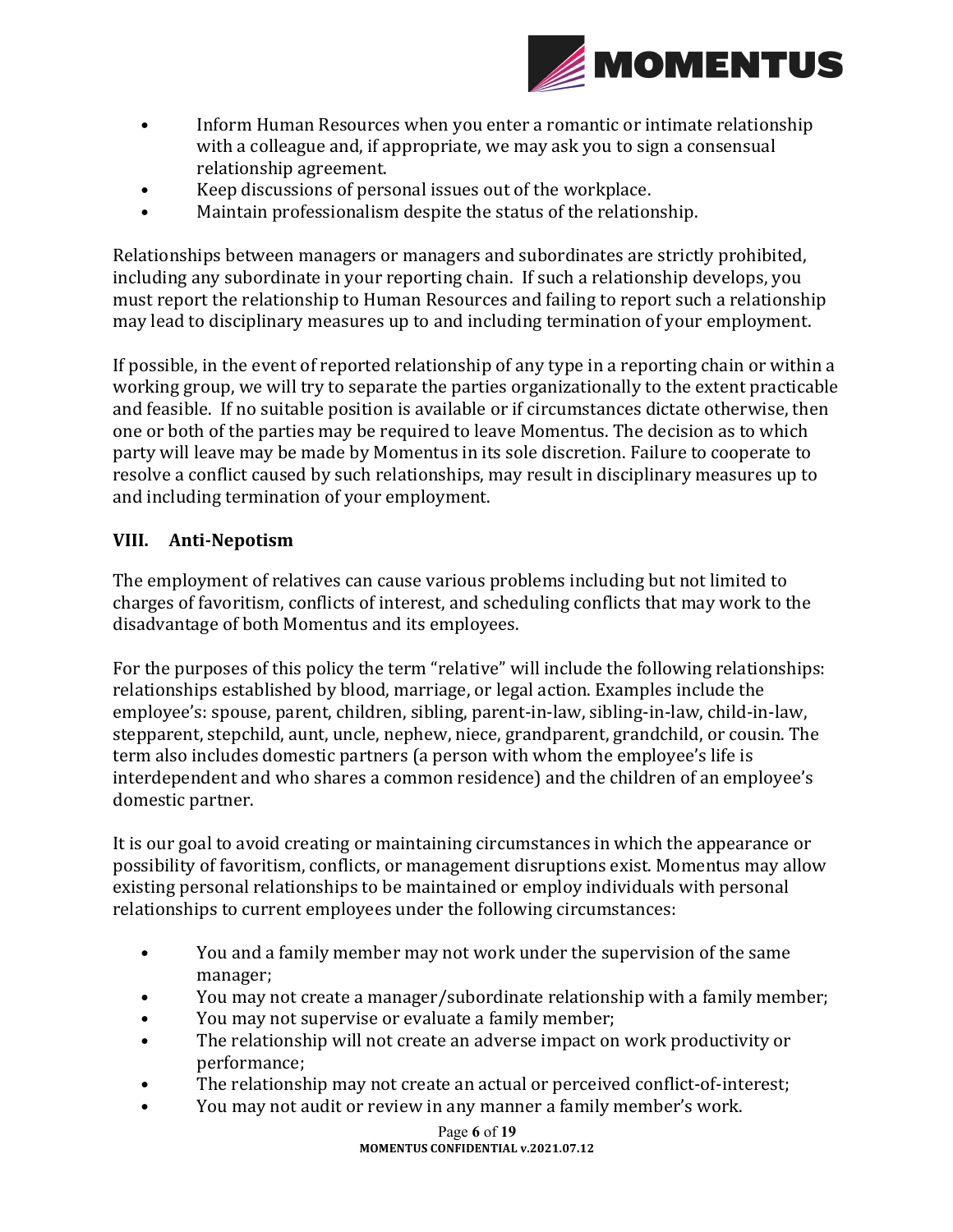

- Inform Human Resources when you enter a romantic or intimate relationship with a colleague and, if appropriate, we may ask you to sign a consensual relationship agreement.
- Keep discussions of personal issues out of the workplace.
- Maintain professionalism despite the status of the relationship.

Relationships between managers or managers and subordinates are strictly prohibited, including any subordinate in your reporting chain. If such a relationship develops, you must report the relationship to Human Resources and failing to report such a relationship may lead to disciplinary measures up to and including termination of your employment.

If possible, in the event of reported relationship of any type in a reporting chain or within a working group, we will try to separate the parties organizationally to the extent practicable and feasible. If no suitable position is available or if circumstances dictate otherwise, then one or both of the parties may be required to leave Momentus. The decision as to which party will leave may be made by Momentus in its sole discretion. Failure to cooperate to resolve a conflict caused by such relationships, may result in disciplinary measures up to and including termination of your employment.

#### **VIII. Anti-Nepotism**

The employment of relatives can cause various problems including but not limited to charges of favoritism, conflicts of interest, and scheduling conflicts that may work to the disadvantage of both Momentus and its employees.

For the purposes of this policy the term "relative" will include the following relationships: relationships established by blood, marriage, or legal action. Examples include the employee's: spouse, parent, children, sibling, parent-in-law, sibling-in-law, child-in-law, stepparent, stepchild, aunt, uncle, nephew, niece, grandparent, grandchild, or cousin. The term also includes domestic partners (a person with whom the employee's life is interdependent and who shares a common residence) and the children of an employee's domestic partner.

It is our goal to avoid creating or maintaining circumstances in which the appearance or possibility of favoritism, conflicts, or management disruptions exist. Momentus may allow existing personal relationships to be maintained or employ individuals with personal relationships to current employees under the following circumstances:

- You and a family member may not work under the supervision of the same manager;
- You may not create a manager/subordinate relationship with a family member;
- You may not supervise or evaluate a family member;
- The relationship will not create an adverse impact on work productivity or performance;
- The relationship may not create an actual or perceived conflict-of-interest;
- You may not audit or review in any manner a family member's work.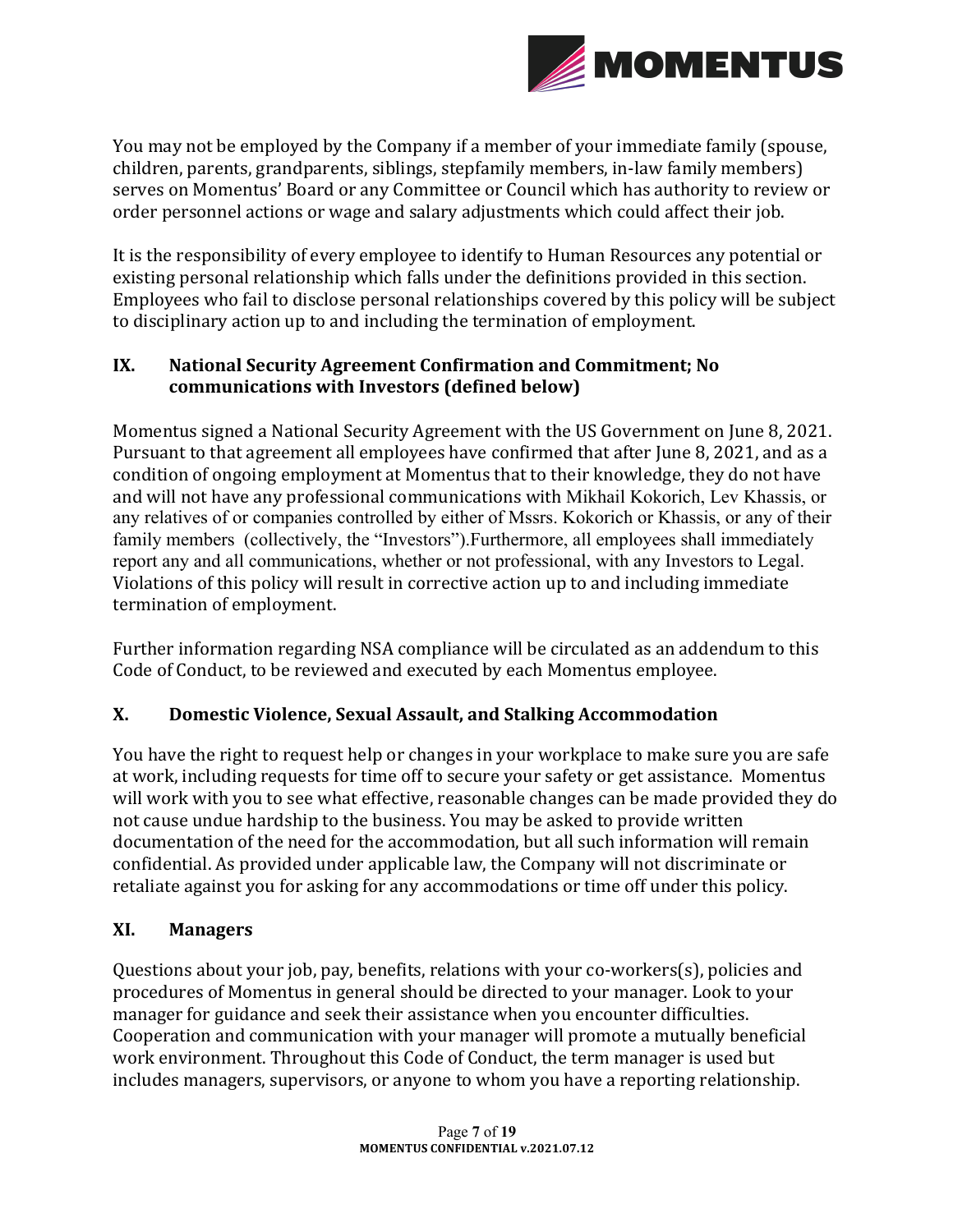

You may not be employed by the Company if a member of your immediate family (spouse, children, parents, grandparents, siblings, stepfamily members, in-law family members) serves on Momentus' Board or any Committee or Council which has authority to review or order personnel actions or wage and salary adjustments which could affect their job.

It is the responsibility of every employee to identify to Human Resources any potential or existing personal relationship which falls under the definitions provided in this section. Employees who fail to disclose personal relationships covered by this policy will be subject to disciplinary action up to and including the termination of employment.

### IX. National Security Agreement Confirmation and Commitment; No communications with Investors (defined below)

Momentus signed a National Security Agreement with the US Government on June 8, 2021. Pursuant to that agreement all employees have confirmed that after June 8, 2021, and as a condition of ongoing employment at Momentus that to their knowledge, they do not have and will not have any professional communications with Mikhail Kokorich, Lev Khassis, or any relatives of or companies controlled by either of Mssrs. Kokorich or Khassis, or any of their family members (collectively, the "Investors").Furthermore, all employees shall immediately report any and all communications, whether or not professional, with any Investors to Legal. Violations of this policy will result in corrective action up to and including immediate termination of employment.

Further information regarding NSA compliance will be circulated as an addendum to this Code of Conduct, to be reviewed and executed by each Momentus employee.

### **X. Domestic Violence, Sexual Assault, and Stalking Accommodation**

You have the right to request help or changes in your workplace to make sure you are safe at work, including requests for time off to secure your safety or get assistance. Momentus will work with you to see what effective, reasonable changes can be made provided they do not cause undue hardship to the business. You may be asked to provide written documentation of the need for the accommodation, but all such information will remain confidential. As provided under applicable law, the Company will not discriminate or retaliate against you for asking for any accommodations or time off under this policy.

### **XI. Managers**

Questions about your job, pay, benefits, relations with your co-workers(s), policies and procedures of Momentus in general should be directed to your manager. Look to your manager for guidance and seek their assistance when you encounter difficulties. Cooperation and communication with your manager will promote a mutually beneficial work environment. Throughout this Code of Conduct, the term manager is used but includes managers, supervisors, or anyone to whom you have a reporting relationship.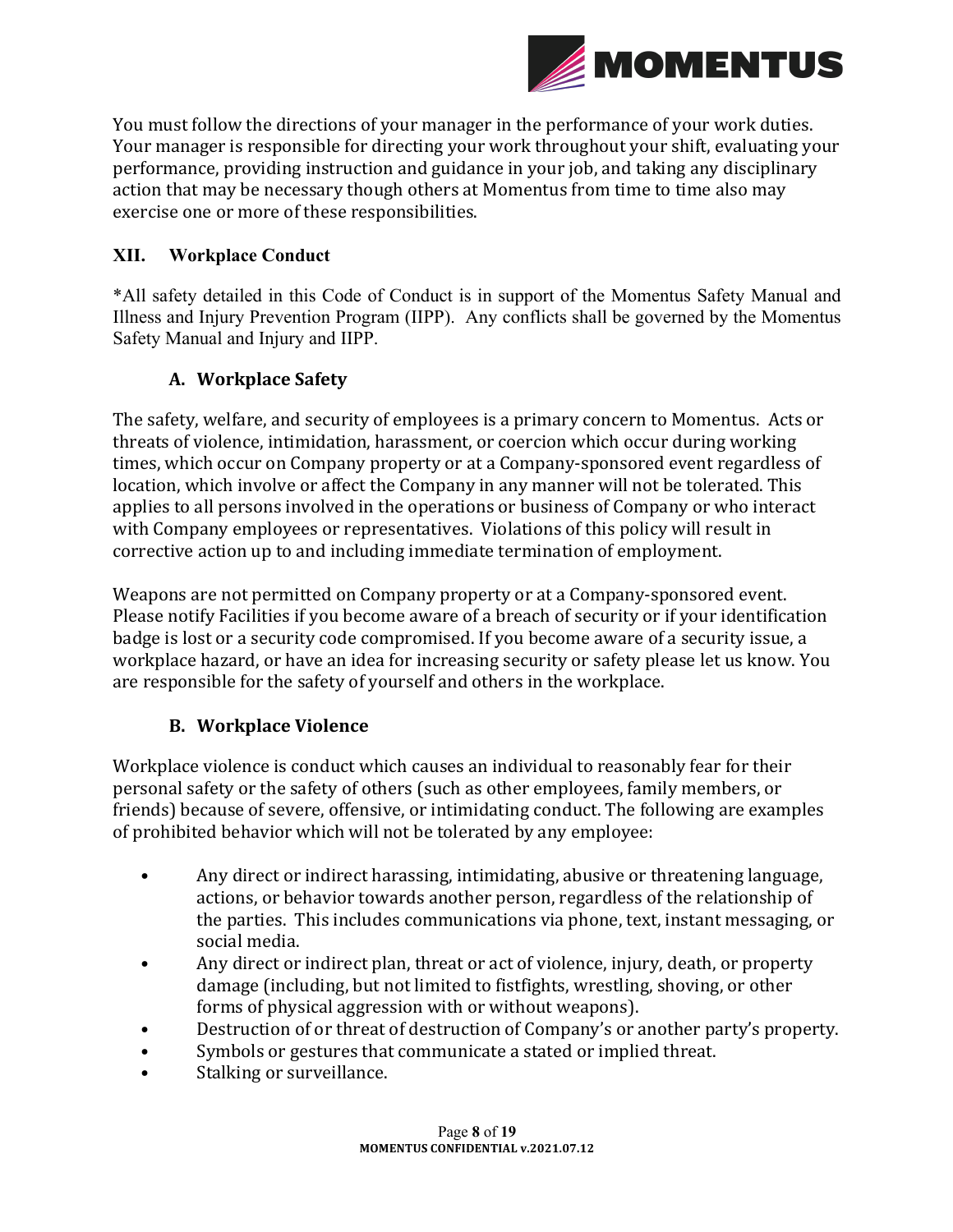

You must follow the directions of your manager in the performance of your work duties. Your manager is responsible for directing your work throughout your shift, evaluating your performance, providing instruction and guidance in your job, and taking any disciplinary action that may be necessary though others at Momentus from time to time also may exercise one or more of these responsibilities.

#### **XII. Workplace Conduct**

\*All safety detailed in this Code of Conduct is in support of the Momentus Safety Manual and Illness and Injury Prevention Program (IIPP). Any conflicts shall be governed by the Momentus Safety Manual and Injury and IIPP.

#### **A. Workplace Safety**

The safety, welfare, and security of employees is a primary concern to Momentus. Acts or threats of violence, intimidation, harassment, or coercion which occur during working times, which occur on Company property or at a Company-sponsored event regardless of location, which involve or affect the Company in any manner will not be tolerated. This applies to all persons involved in the operations or business of Company or who interact with Company employees or representatives. Violations of this policy will result in corrective action up to and including immediate termination of employment.

Weapons are not permitted on Company property or at a Company-sponsored event. Please notify Facilities if you become aware of a breach of security or if your identification badge is lost or a security code compromised. If you become aware of a security issue, a workplace hazard, or have an idea for increasing security or safety please let us know. You are responsible for the safety of yourself and others in the workplace.

### **B. Workplace Violence**

Workplace violence is conduct which causes an individual to reasonably fear for their personal safety or the safety of others (such as other employees, family members, or friends) because of severe, offensive, or intimidating conduct. The following are examples of prohibited behavior which will not be tolerated by any employee:

- Any direct or indirect harassing, intimidating, abusive or threatening language, actions, or behavior towards another person, regardless of the relationship of the parties. This includes communications via phone, text, instant messaging, or social media.
- Any direct or indirect plan, threat or act of violence, injury, death, or property damage (including, but not limited to fistfights, wrestling, shoving, or other forms of physical aggression with or without weapons).
- Destruction of or threat of destruction of Company's or another party's property.
- Symbols or gestures that communicate a stated or implied threat.
- Stalking or surveillance.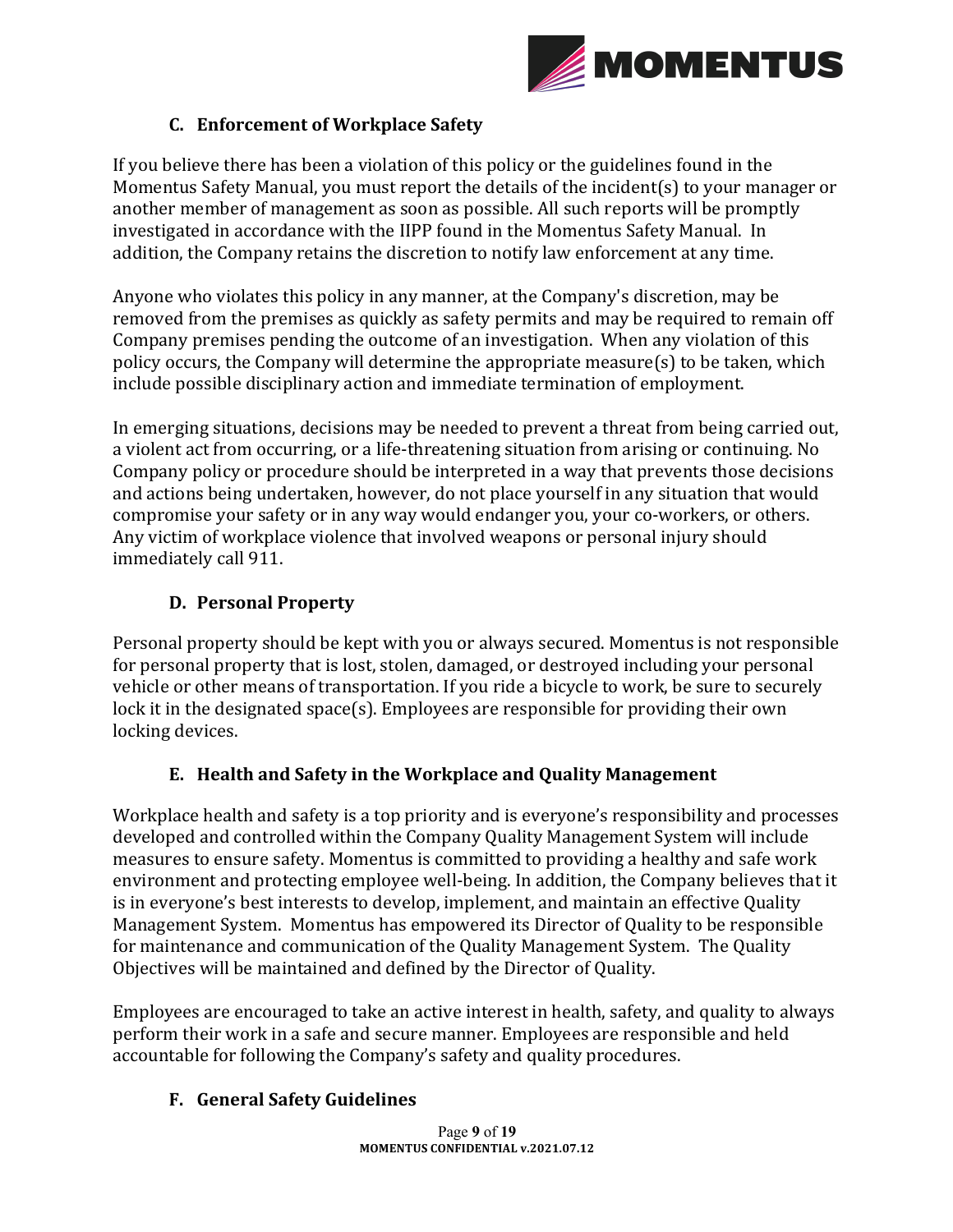

### **C. Enforcement of Workplace Safety**

If you believe there has been a violation of this policy or the guidelines found in the Momentus Safety Manual, you must report the details of the incident(s) to your manager or another member of management as soon as possible. All such reports will be promptly investigated in accordance with the IIPP found in the Momentus Safety Manual. In addition, the Company retains the discretion to notify law enforcement at any time.

Anyone who violates this policy in any manner, at the Company's discretion, may be removed from the premises as quickly as safety permits and may be required to remain off Company premises pending the outcome of an investigation. When any violation of this policy occurs, the Company will determine the appropriate measure(s) to be taken, which include possible disciplinary action and immediate termination of employment.

In emerging situations, decisions may be needed to prevent a threat from being carried out, a violent act from occurring, or a life-threatening situation from arising or continuing. No Company policy or procedure should be interpreted in a way that prevents those decisions and actions being undertaken, however, do not place yourself in any situation that would compromise your safety or in any way would endanger you, your co-workers, or others. Any victim of workplace violence that involved weapons or personal injury should immediately call 911.

### **D. Personal Property**

Personal property should be kept with you or always secured. Momentus is not responsible for personal property that is lost, stolen, damaged, or destroyed including your personal vehicle or other means of transportation. If you ride a bicycle to work, be sure to securely lock it in the designated space(s). Employees are responsible for providing their own locking devices.

### **E. Health and Safety in the Workplace and Quality Management**

Workplace health and safety is a top priority and is everyone's responsibility and processes developed and controlled within the Company Quality Management System will include measures to ensure safety. Momentus is committed to providing a healthy and safe work environment and protecting employee well-being. In addition, the Company believes that it is in everyone's best interests to develop, implement, and maintain an effective Quality Management System. Momentus has empowered its Director of Quality to be responsible for maintenance and communication of the Quality Management System. The Quality Objectives will be maintained and defined by the Director of Quality.

Employees are encouraged to take an active interest in health, safety, and quality to always perform their work in a safe and secure manner. Employees are responsible and held accountable for following the Company's safety and quality procedures.

### **F. General Safety Guidelines**

Page **9** of **19 MOMENTUS CONFIDENTIAL v.2021.07.12**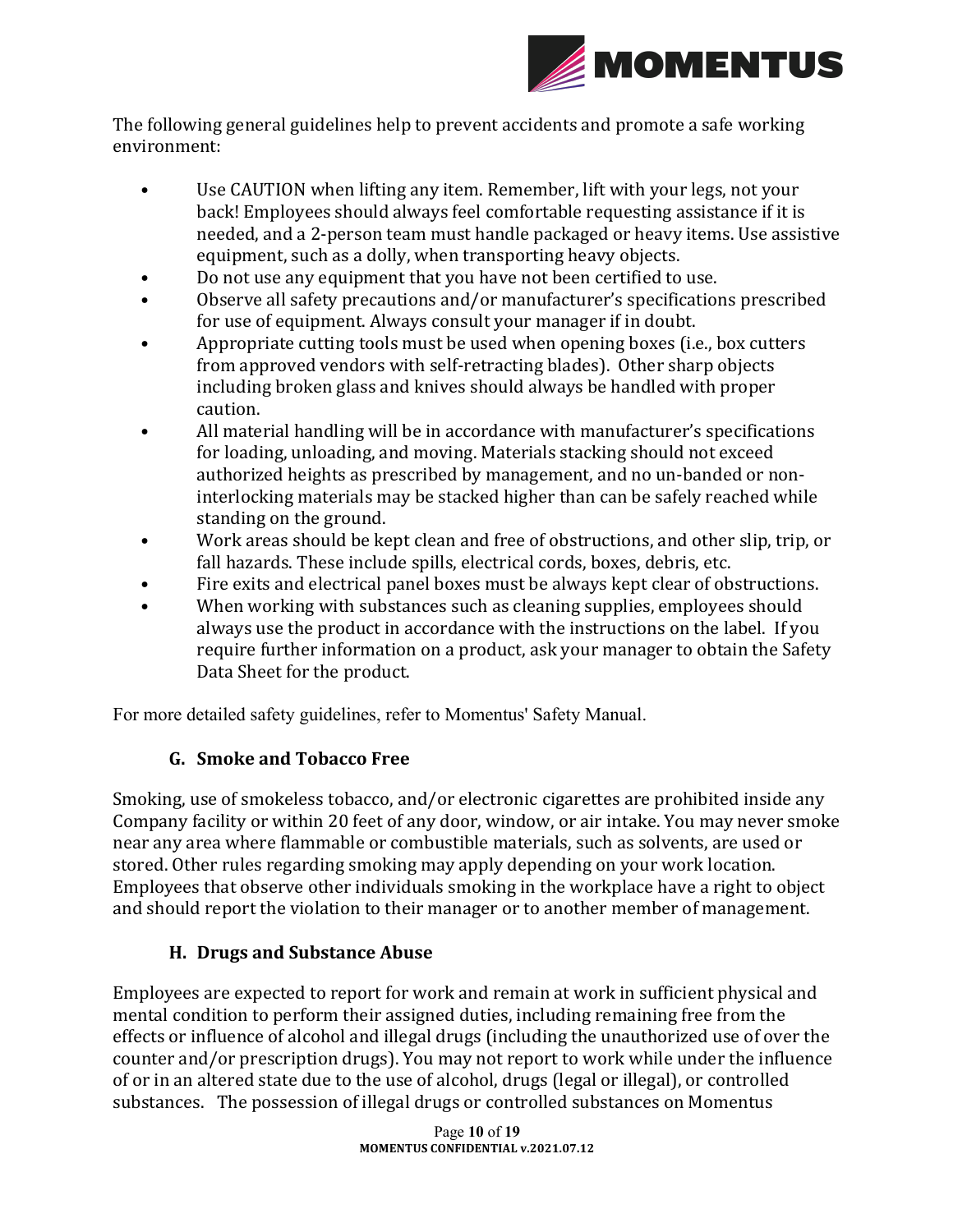

The following general guidelines help to prevent accidents and promote a safe working environment:

- Use CAUTION when lifting any item. Remember, lift with your legs, not your back! Employees should always feel comfortable requesting assistance if it is needed, and a 2-person team must handle packaged or heavy items. Use assistive equipment, such as a dolly, when transporting heavy objects.
- Do not use any equipment that you have not been certified to use.
- Observe all safety precautions and/or manufacturer's specifications prescribed for use of equipment. Always consult your manager if in doubt.
- Appropriate cutting tools must be used when opening boxes (i.e., box cutters from approved vendors with self-retracting blades). Other sharp objects including broken glass and knives should always be handled with proper caution.
- All material handling will be in accordance with manufacturer's specifications for loading, unloading, and moving. Materials stacking should not exceed authorized heights as prescribed by management, and no un-banded or noninterlocking materials may be stacked higher than can be safely reached while standing on the ground.
- Work areas should be kept clean and free of obstructions, and other slip, trip, or fall hazards. These include spills, electrical cords, boxes, debris, etc.
- Fire exits and electrical panel boxes must be always kept clear of obstructions.
- When working with substances such as cleaning supplies, employees should always use the product in accordance with the instructions on the label. If you require further information on a product, ask your manager to obtain the Safety Data Sheet for the product.

For more detailed safety guidelines, refer to Momentus' Safety Manual.

### **G. Smoke and Tobacco Free**

Smoking, use of smokeless tobacco, and/or electronic cigarettes are prohibited inside any Company facility or within 20 feet of any door, window, or air intake. You may never smoke near any area where flammable or combustible materials, such as solvents, are used or stored. Other rules regarding smoking may apply depending on your work location. Employees that observe other individuals smoking in the workplace have a right to object and should report the violation to their manager or to another member of management.

### **H.** Drugs and Substance Abuse

Employees are expected to report for work and remain at work in sufficient physical and mental condition to perform their assigned duties, including remaining free from the effects or influence of alcohol and illegal drugs (including the unauthorized use of over the counter and/or prescription drugs). You may not report to work while under the influence of or in an altered state due to the use of alcohol, drugs (legal or illegal), or controlled substances. The possession of illegal drugs or controlled substances on Momentus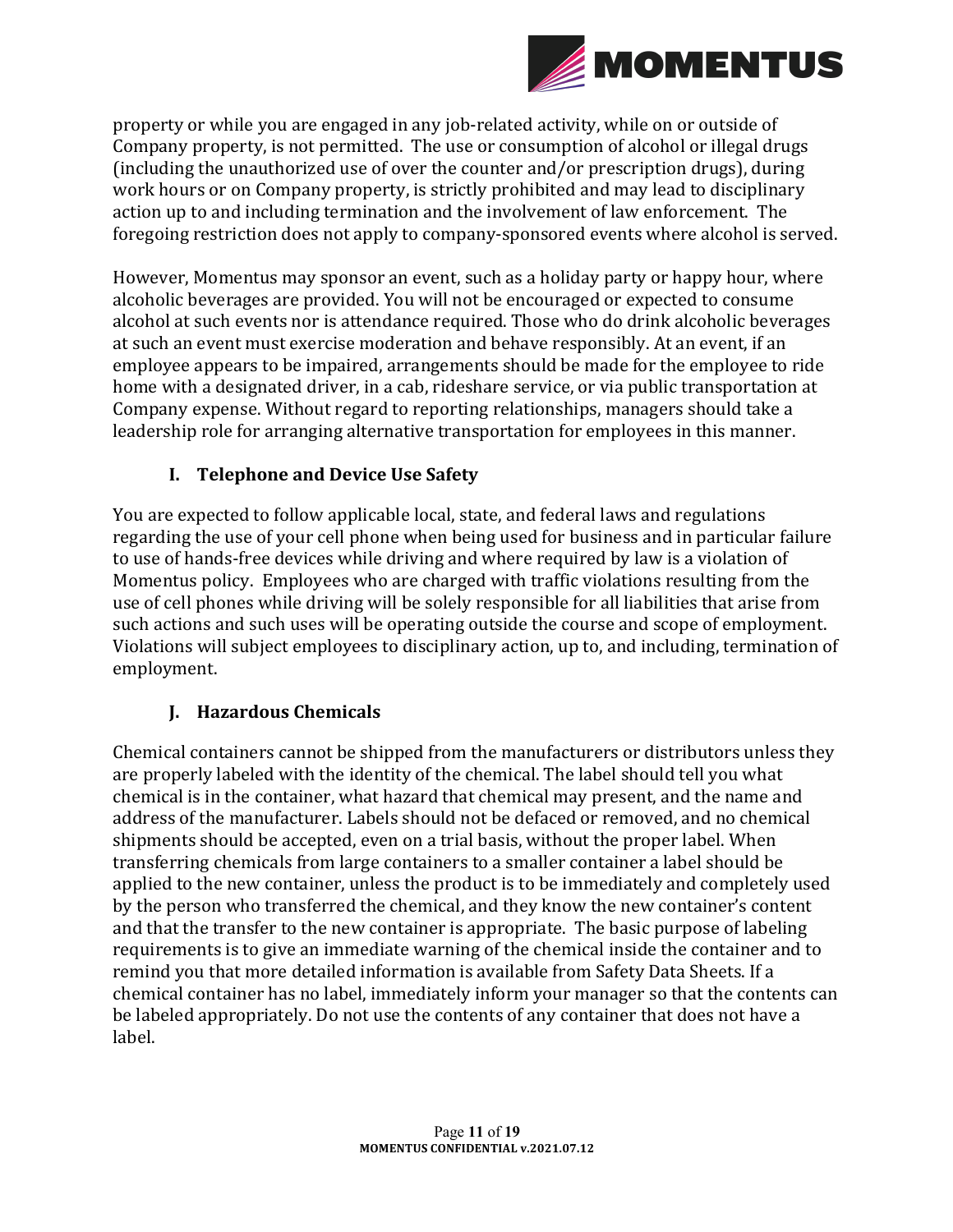

property or while you are engaged in any job-related activity, while on or outside of Company property, is not permitted. The use or consumption of alcohol or illegal drugs (including the unauthorized use of over the counter and/or prescription drugs), during work hours or on Company property, is strictly prohibited and may lead to disciplinary action up to and including termination and the involvement of law enforcement. The foregoing restriction does not apply to company-sponsored events where alcohol is served.

However, Momentus may sponsor an event, such as a holiday party or happy hour, where alcoholic beverages are provided. You will not be encouraged or expected to consume alcohol at such events nor is attendance required. Those who do drink alcoholic beverages at such an event must exercise moderation and behave responsibly. At an event, if an employee appears to be impaired, arrangements should be made for the employee to ride home with a designated driver, in a cab, rideshare service, or via public transportation at Company expense. Without regard to reporting relationships, managers should take a leadership role for arranging alternative transportation for employees in this manner.

### **I. Telephone and Device Use Safety**

You are expected to follow applicable local, state, and federal laws and regulations regarding the use of your cell phone when being used for business and in particular failure to use of hands-free devices while driving and where required by law is a violation of Momentus policy. Employees who are charged with traffic violations resulting from the use of cell phones while driving will be solely responsible for all liabilities that arise from such actions and such uses will be operating outside the course and scope of employment. Violations will subject employees to disciplinary action, up to, and including, termination of employment.

### **J. Hazardous Chemicals**

Chemical containers cannot be shipped from the manufacturers or distributors unless they are properly labeled with the identity of the chemical. The label should tell you what chemical is in the container, what hazard that chemical may present, and the name and address of the manufacturer. Labels should not be defaced or removed, and no chemical shipments should be accepted, even on a trial basis, without the proper label. When transferring chemicals from large containers to a smaller container a label should be applied to the new container, unless the product is to be immediately and completely used by the person who transferred the chemical, and they know the new container's content and that the transfer to the new container is appropriate. The basic purpose of labeling requirements is to give an immediate warning of the chemical inside the container and to remind you that more detailed information is available from Safety Data Sheets. If a chemical container has no label, immediately inform your manager so that the contents can be labeled appropriately. Do not use the contents of any container that does not have a label.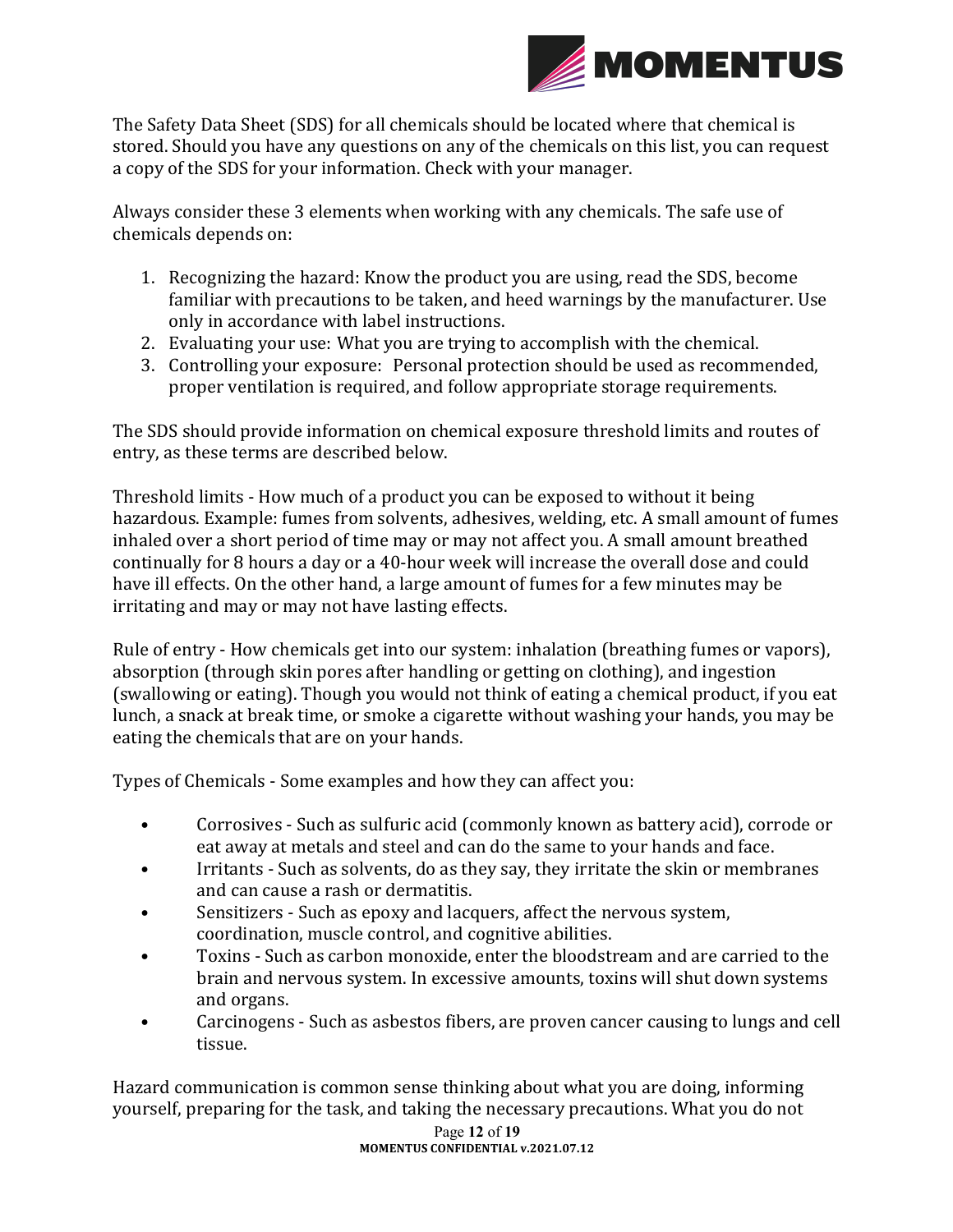

The Safety Data Sheet (SDS) for all chemicals should be located where that chemical is stored. Should you have any questions on any of the chemicals on this list, you can request a copy of the SDS for your information. Check with your manager.

Always consider these 3 elements when working with any chemicals. The safe use of chemicals depends on:

- 1. Recognizing the hazard: Know the product you are using, read the SDS, become familiar with precautions to be taken, and heed warnings by the manufacturer. Use only in accordance with label instructions.
- 2. Evaluating your use: What you are trying to accomplish with the chemical.
- 3. Controlling your exposure: Personal protection should be used as recommended, proper ventilation is required, and follow appropriate storage requirements.

The SDS should provide information on chemical exposure threshold limits and routes of entry, as these terms are described below.

Threshold limits - How much of a product you can be exposed to without it being hazardous. Example: fumes from solvents, adhesives, welding, etc. A small amount of fumes inhaled over a short period of time may or may not affect you. A small amount breathed continually for 8 hours a day or a 40-hour week will increase the overall dose and could have ill effects. On the other hand, a large amount of fumes for a few minutes may be irritating and may or may not have lasting effects.

Rule of entry - How chemicals get into our system: inhalation (breathing fumes or vapors), absorption (through skin pores after handling or getting on clothing), and ingestion (swallowing or eating). Though you would not think of eating a chemical product, if you eat lunch, a snack at break time, or smoke a cigarette without washing your hands, you may be eating the chemicals that are on your hands.

Types of Chemicals - Some examples and how they can affect you:

- Corrosives Such as sulfuric acid (commonly known as battery acid), corrode or eat away at metals and steel and can do the same to your hands and face.
- Irritants Such as solvents, do as they say, they irritate the skin or membranes and can cause a rash or dermatitis.
- Sensitizers Such as epoxy and lacquers, affect the nervous system, coordination, muscle control, and cognitive abilities.
- Toxins Such as carbon monoxide, enter the bloodstream and are carried to the brain and nervous system. In excessive amounts, toxins will shut down systems and organs.
- Carcinogens Such as asbestos fibers, are proven cancer causing to lungs and cell tissue.

Hazard communication is common sense thinking about what you are doing, informing yourself, preparing for the task, and taking the necessary precautions. What you do not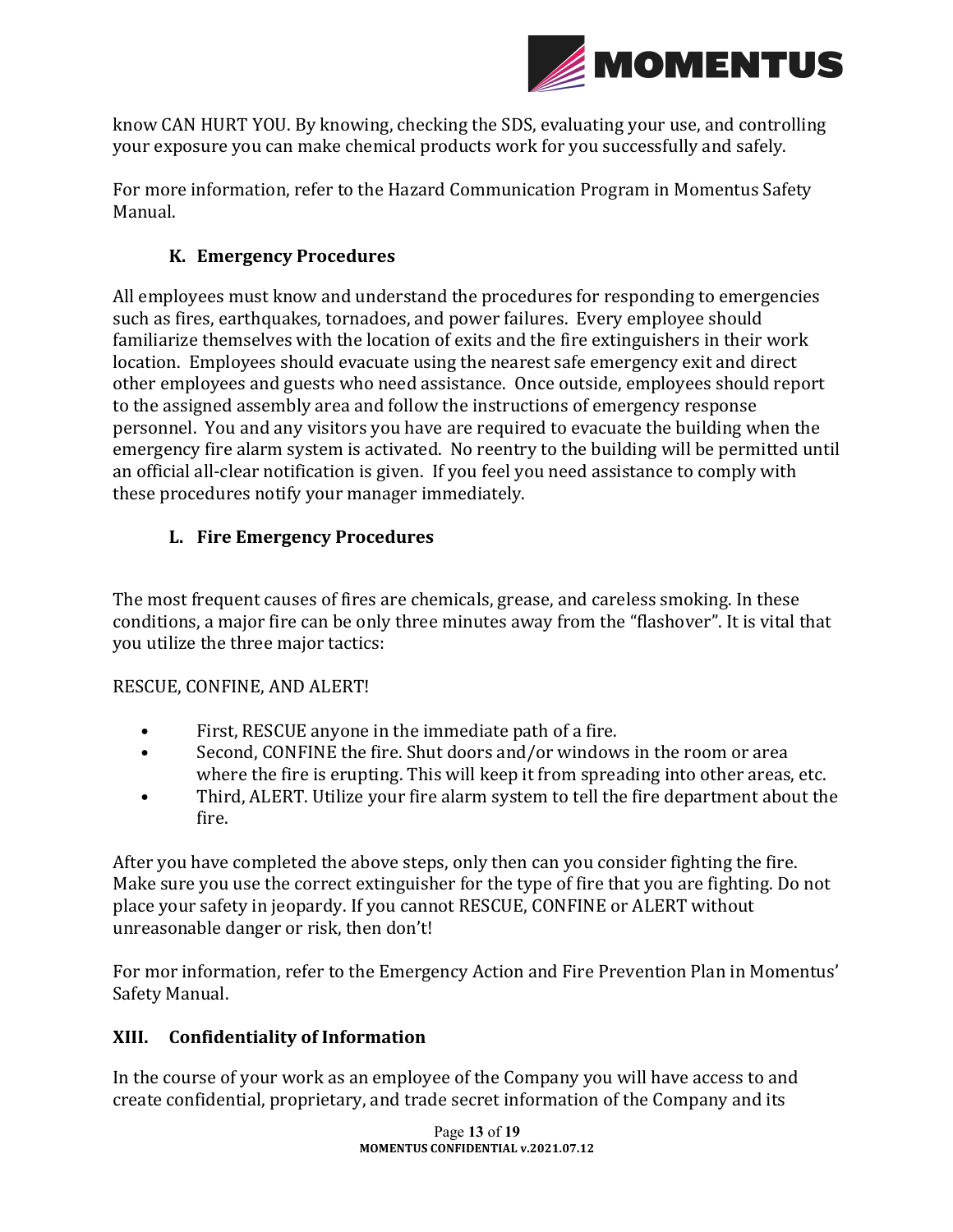

know CAN HURT YOU. By knowing, checking the SDS, evaluating your use, and controlling your exposure you can make chemical products work for you successfully and safely.

For more information, refer to the Hazard Communication Program in Momentus Safety Manual.

### **K. Emergency Procedures**

All employees must know and understand the procedures for responding to emergencies such as fires, earthquakes, tornadoes, and power failures. Every employee should familiarize themselves with the location of exits and the fire extinguishers in their work location. Employees should evacuate using the nearest safe emergency exit and direct other employees and guests who need assistance. Once outside, employees should report to the assigned assembly area and follow the instructions of emergency response personnel. You and any visitors you have are required to evacuate the building when the emergency fire alarm system is activated. No reentry to the building will be permitted until an official all-clear notification is given. If you feel you need assistance to comply with these procedures notify your manager immediately.

### **L.** Fire Emergency Procedures

The most frequent causes of fires are chemicals, grease, and careless smoking. In these conditions, a major fire can be only three minutes away from the "flashover". It is vital that you utilize the three major tactics:

### RESCUE, CONFINE, AND ALERT!

- First, RESCUE anyone in the immediate path of a fire.
- Second, CONFINE the fire. Shut doors and/or windows in the room or area where the fire is erupting. This will keep it from spreading into other areas, etc.
- Third, ALERT. Utilize your fire alarm system to tell the fire department about the fire.

After you have completed the above steps, only then can you consider fighting the fire. Make sure you use the correct extinguisher for the type of fire that you are fighting. Do not place your safety in jeopardy. If you cannot RESCUE, CONFINE or ALERT without unreasonable danger or risk, then don't!

For mor information, refer to the Emergency Action and Fire Prevention Plan in Momentus' Safety Manual.

### **XIII. Confidentiality of Information**

In the course of your work as an employee of the Company you will have access to and create confidential, proprietary, and trade secret information of the Company and its

> Page **13** of **19 MOMENTUS CONFIDENTIAL v.2021.07.12**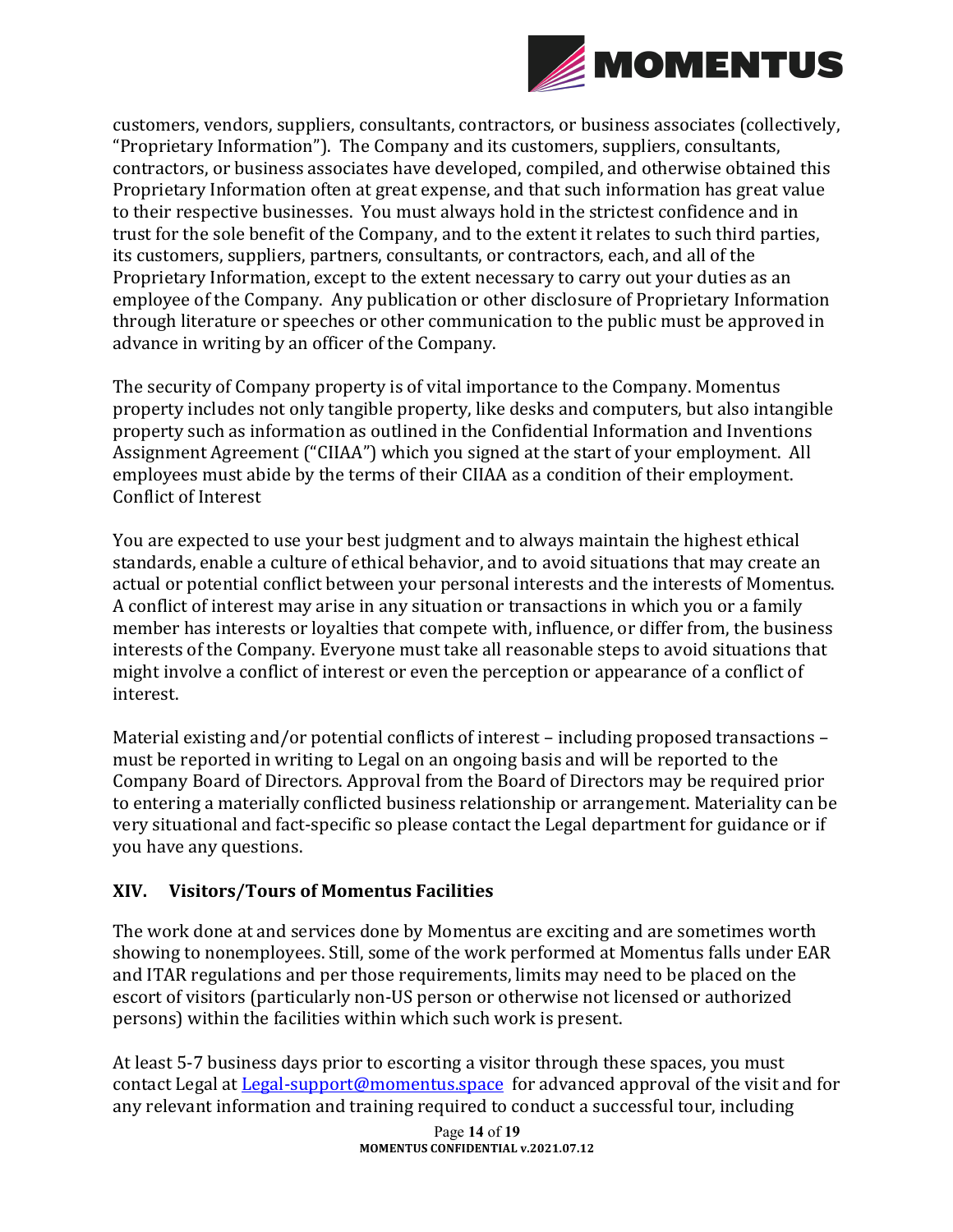

customers, vendors, suppliers, consultants, contractors, or business associates (collectively, "Proprietary Information"). The Company and its customers, suppliers, consultants, contractors, or business associates have developed, compiled, and otherwise obtained this Proprietary Information often at great expense, and that such information has great value to their respective businesses. You must always hold in the strictest confidence and in trust for the sole benefit of the Company, and to the extent it relates to such third parties, its customers, suppliers, partners, consultants, or contractors, each, and all of the Proprietary Information, except to the extent necessary to carry out your duties as an employee of the Company. Any publication or other disclosure of Proprietary Information through literature or speeches or other communication to the public must be approved in advance in writing by an officer of the Company.

The security of Company property is of vital importance to the Company. Momentus property includes not only tangible property, like desks and computers, but also intangible property such as information as outlined in the Confidential Information and Inventions Assignment Agreement ("CIIAA") which you signed at the start of your employment. All employees must abide by the terms of their CIIAA as a condition of their employment. Conflict of Interest

You are expected to use your best judgment and to always maintain the highest ethical standards, enable a culture of ethical behavior, and to avoid situations that may create an actual or potential conflict between your personal interests and the interests of Momentus. A conflict of interest may arise in any situation or transactions in which you or a family member has interests or loyalties that compete with, influence, or differ from, the business interests of the Company. Everyone must take all reasonable steps to avoid situations that might involve a conflict of interest or even the perception or appearance of a conflict of interest. 

Material existing and/or potential conflicts of interest  $-$  including proposed transactions  $$ must be reported in writing to Legal on an ongoing basis and will be reported to the Company Board of Directors. Approval from the Board of Directors may be required prior to entering a materially conflicted business relationship or arrangement. Materiality can be very situational and fact-specific so please contact the Legal department for guidance or if you have any questions.

### **XIV. Visitors/Tours of Momentus Facilities**

The work done at and services done by Momentus are exciting and are sometimes worth showing to nonemployees. Still, some of the work performed at Momentus falls under EAR and ITAR regulations and per those requirements, limits may need to be placed on the escort of visitors (particularly non-US person or otherwise not licensed or authorized persons) within the facilities within which such work is present.

At least 5-7 business days prior to escorting a visitor through these spaces, you must contact Legal at Legal-support@momentus.space for advanced approval of the visit and for any relevant information and training required to conduct a successful tour, including

> Page **14** of **19 MOMENTUS CONFIDENTIAL v.2021.07.12**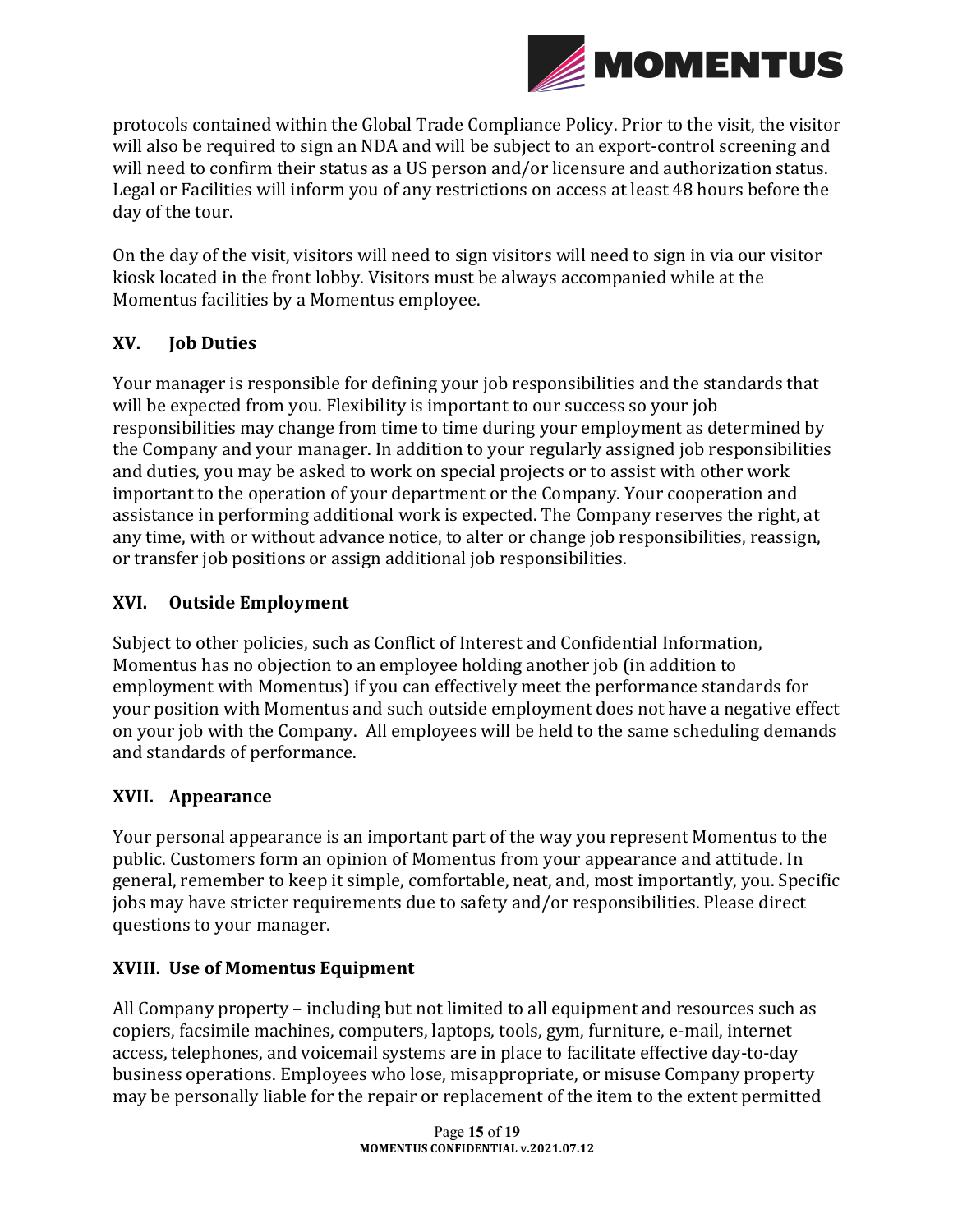

protocols contained within the Global Trade Compliance Policy. Prior to the visit, the visitor will also be required to sign an NDA and will be subject to an export-control screening and will need to confirm their status as a US person and/or licensure and authorization status. Legal or Facilities will inform you of any restrictions on access at least 48 hours before the day of the tour.

On the day of the visit, visitors will need to sign visitors will need to sign in via our visitor kiosk located in the front lobby. Visitors must be always accompanied while at the Momentus facilities by a Momentus employee.

### **XV. Job Duties**

Your manager is responsible for defining your job responsibilities and the standards that will be expected from you. Flexibility is important to our success so your job responsibilities may change from time to time during your employment as determined by the Company and your manager. In addition to your regularly assigned job responsibilities and duties, you may be asked to work on special projects or to assist with other work important to the operation of your department or the Company. Your cooperation and assistance in performing additional work is expected. The Company reserves the right, at any time, with or without advance notice, to alter or change job responsibilities, reassign, or transfer job positions or assign additional job responsibilities.

### **XVI. Outside Employment**

Subject to other policies, such as Conflict of Interest and Confidential Information, Momentus has no objection to an employee holding another job (in addition to employment with Momentus) if you can effectively meet the performance standards for your position with Momentus and such outside employment does not have a negative effect on your job with the Company. All employees will be held to the same scheduling demands and standards of performance.

### **XVII. Appearance**

Your personal appearance is an important part of the way you represent Momentus to the public. Customers form an opinion of Momentus from your appearance and attitude. In general, remember to keep it simple, comfortable, neat, and, most importantly, you. Specific jobs may have stricter requirements due to safety and/or responsibilities. Please direct questions to your manager.

### **XVIII. Use of Momentus Equipment**

All Company property – including but not limited to all equipment and resources such as copiers, facsimile machines, computers, laptops, tools, gym, furniture, e-mail, internet access, telephones, and voicemail systems are in place to facilitate effective day-to-day business operations. Employees who lose, misappropriate, or misuse Company property may be personally liable for the repair or replacement of the item to the extent permitted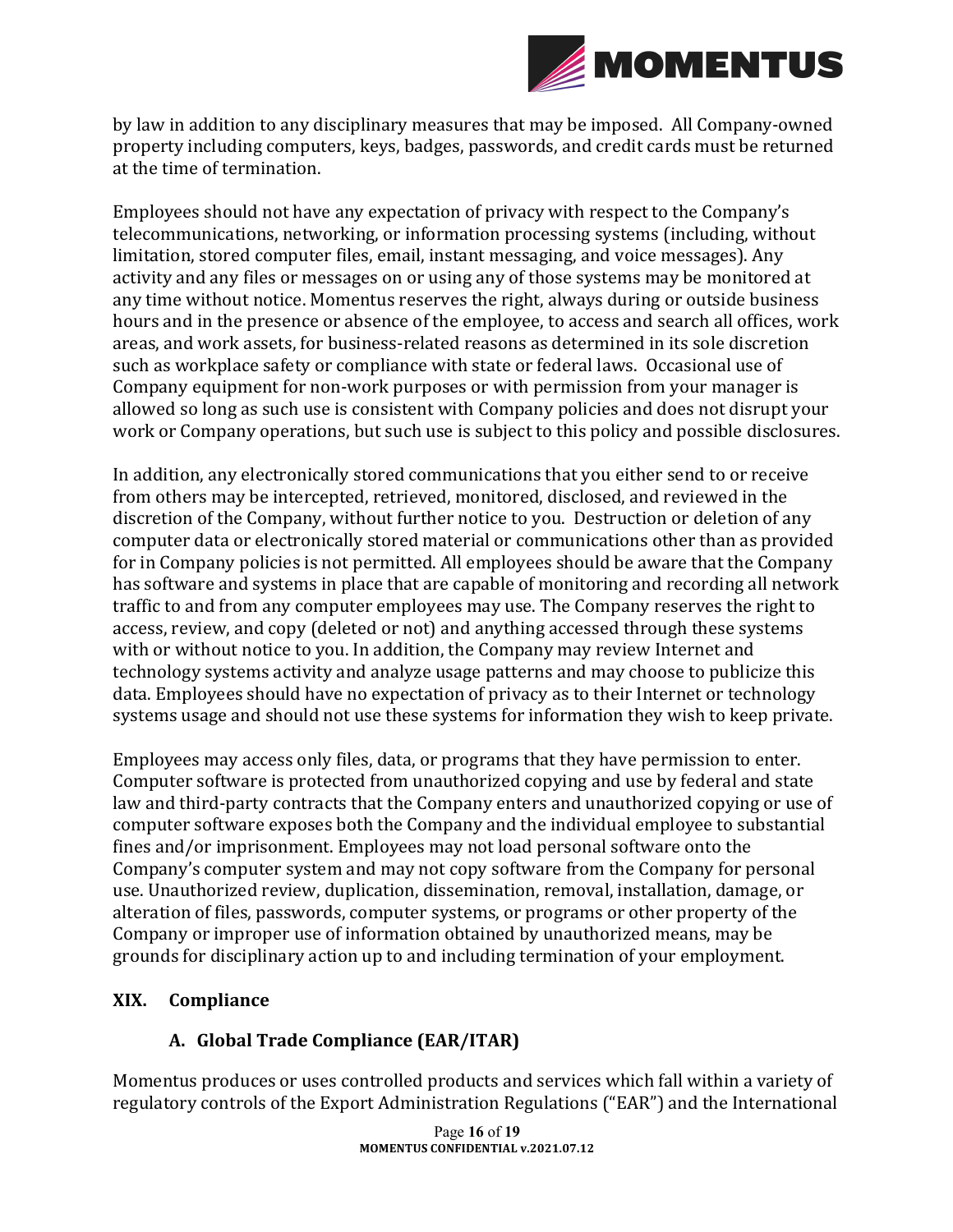

by law in addition to any disciplinary measures that may be imposed. All Company-owned property including computers, keys, badges, passwords, and credit cards must be returned at the time of termination.

Employees should not have any expectation of privacy with respect to the Company's telecommunications, networking, or information processing systems (including, without limitation, stored computer files, email, instant messaging, and voice messages). Any activity and any files or messages on or using any of those systems may be monitored at any time without notice. Momentus reserves the right, always during or outside business hours and in the presence or absence of the employee, to access and search all offices, work areas, and work assets, for business-related reasons as determined in its sole discretion such as workplace safety or compliance with state or federal laws. Occasional use of Company equipment for non-work purposes or with permission from your manager is allowed so long as such use is consistent with Company policies and does not disrupt your work or Company operations, but such use is subject to this policy and possible disclosures.

In addition, any electronically stored communications that you either send to or receive from others may be intercepted, retrieved, monitored, disclosed, and reviewed in the discretion of the Company, without further notice to you. Destruction or deletion of any computer data or electronically stored material or communications other than as provided for in Company policies is not permitted. All employees should be aware that the Company has software and systems in place that are capable of monitoring and recording all network traffic to and from any computer employees may use. The Company reserves the right to access, review, and copy (deleted or not) and anything accessed through these systems with or without notice to you. In addition, the Company may review Internet and technology systems activity and analyze usage patterns and may choose to publicize this data. Employees should have no expectation of privacy as to their Internet or technology systems usage and should not use these systems for information they wish to keep private.

Employees may access only files, data, or programs that they have permission to enter. Computer software is protected from unauthorized copying and use by federal and state law and third-party contracts that the Company enters and unauthorized copying or use of computer software exposes both the Company and the individual employee to substantial fines and/or imprisonment. Employees may not load personal software onto the Company's computer system and may not copy software from the Company for personal use. Unauthorized review, duplication, dissemination, removal, installation, damage, or alteration of files, passwords, computer systems, or programs or other property of the Company or improper use of information obtained by unauthorized means, may be grounds for disciplinary action up to and including termination of your employment.

#### **XIX. Compliance**

### **A. Global Trade Compliance (EAR/ITAR)**

Momentus produces or uses controlled products and services which fall within a variety of regulatory controls of the Export Administration Regulations ("EAR") and the International

> Page **16** of **19 MOMENTUS CONFIDENTIAL v.2021.07.12**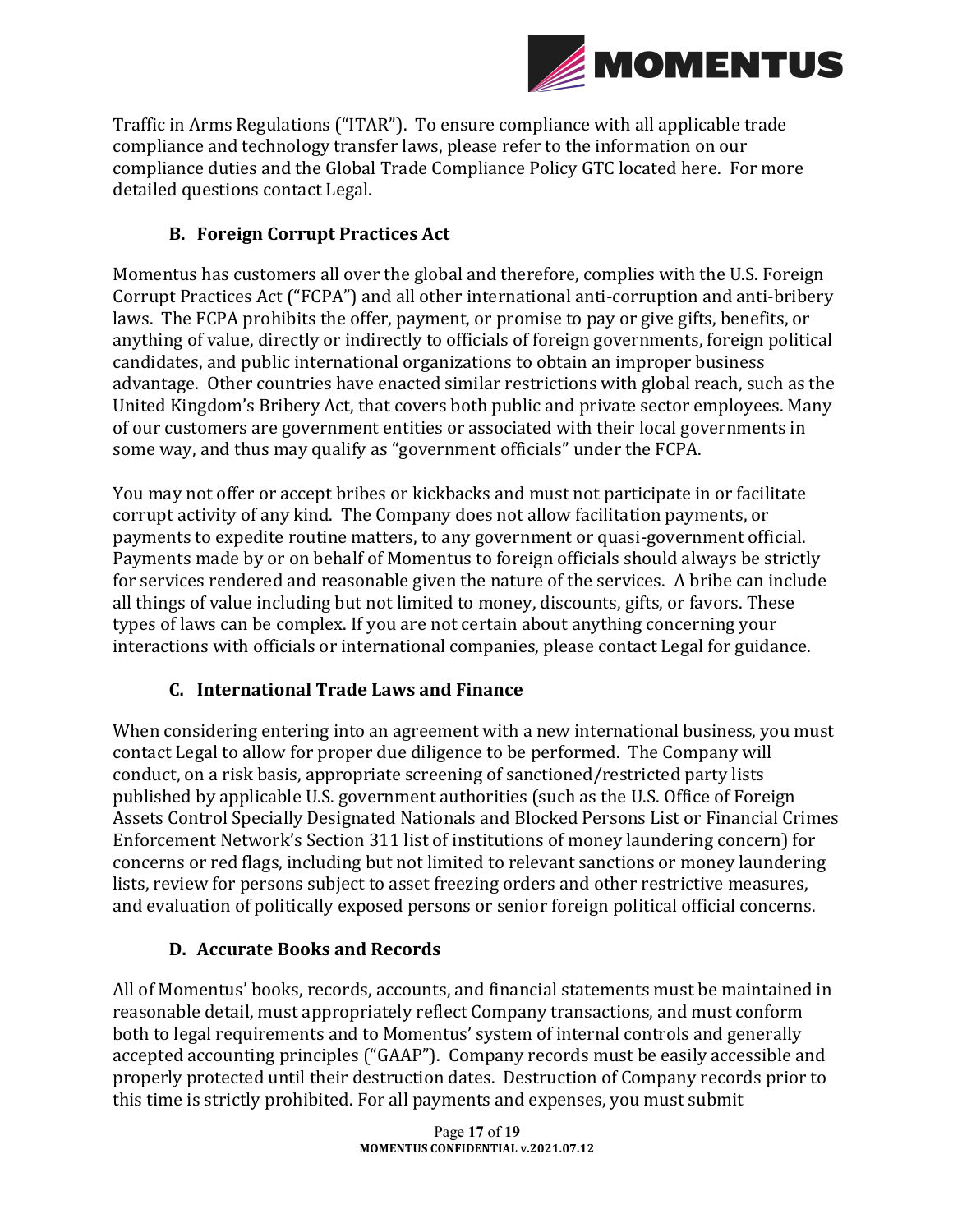

Traffic in Arms Regulations ("ITAR"). To ensure compliance with all applicable trade compliance and technology transfer laws, please refer to the information on our compliance duties and the Global Trade Compliance Policy GTC located here. For more detailed questions contact Legal.

### **B. Foreign Corrupt Practices Act**

Momentus has customers all over the global and therefore, complies with the U.S. Foreign Corrupt Practices Act ("FCPA") and all other international anti-corruption and anti-bribery laws. The FCPA prohibits the offer, payment, or promise to pay or give gifts, benefits, or anything of value, directly or indirectly to officials of foreign governments, foreign political candidates, and public international organizations to obtain an improper business advantage. Other countries have enacted similar restrictions with global reach, such as the United Kingdom's Bribery Act, that covers both public and private sector employees. Many of our customers are government entities or associated with their local governments in some way, and thus may qualify as "government officials" under the FCPA.

You may not offer or accept bribes or kickbacks and must not participate in or facilitate corrupt activity of any kind. The Company does not allow facilitation payments, or payments to expedite routine matters, to any government or quasi-government official. Payments made by or on behalf of Momentus to foreign officials should always be strictly for services rendered and reasonable given the nature of the services. A bribe can include all things of value including but not limited to money, discounts, gifts, or favors. These types of laws can be complex. If you are not certain about anything concerning your interactions with officials or international companies, please contact Legal for guidance.

### **C. International Trade Laws and Finance**

When considering entering into an agreement with a new international business, you must contact Legal to allow for proper due diligence to be performed. The Company will conduct, on a risk basis, appropriate screening of sanctioned/restricted party lists published by applicable U.S. government authorities (such as the U.S. Office of Foreign Assets Control Specially Designated Nationals and Blocked Persons List or Financial Crimes Enforcement Network's Section 311 list of institutions of money laundering concern) for concerns or red flags, including but not limited to relevant sanctions or money laundering lists, review for persons subject to asset freezing orders and other restrictive measures, and evaluation of politically exposed persons or senior foreign political official concerns.

### **D. Accurate Books and Records**

All of Momentus' books, records, accounts, and financial statements must be maintained in reasonable detail, must appropriately reflect Company transactions, and must conform both to legal requirements and to Momentus' system of internal controls and generally accepted accounting principles ("GAAP"). Company records must be easily accessible and properly protected until their destruction dates. Destruction of Company records prior to this time is strictly prohibited. For all payments and expenses, you must submit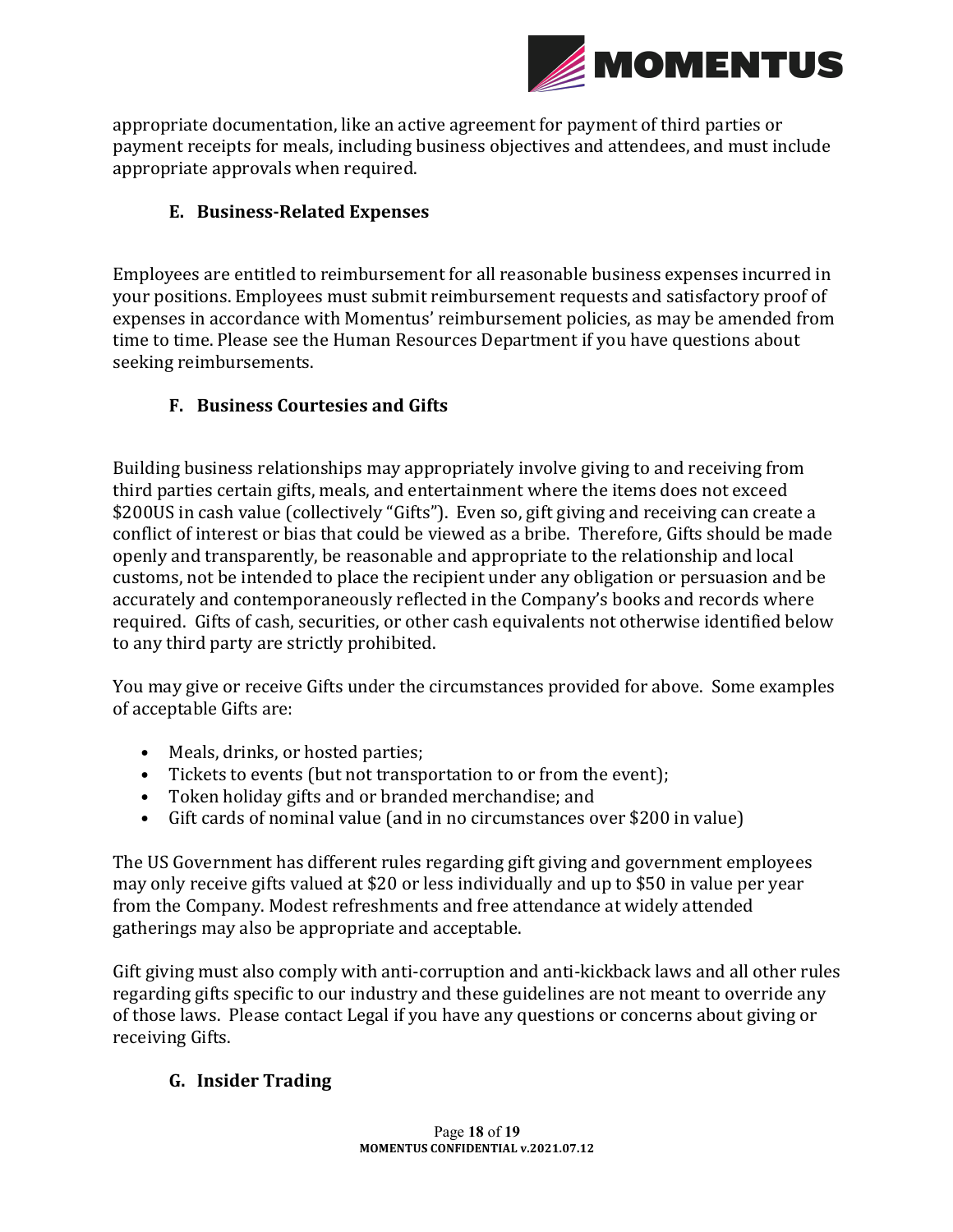

appropriate documentation, like an active agreement for payment of third parties or payment receipts for meals, including business objectives and attendees, and must include appropriate approvals when required.

### **E. Business-Related Expenses**

Employees are entitled to reimbursement for all reasonable business expenses incurred in your positions. Employees must submit reimbursement requests and satisfactory proof of expenses in accordance with Momentus' reimbursement policies, as may be amended from time to time. Please see the Human Resources Department if you have questions about seeking reimbursements.

#### **F. Business Courtesies and Gifts**

Building business relationships may appropriately involve giving to and receiving from third parties certain gifts, meals, and entertainment where the items does not exceed \$200US in cash value (collectively "Gifts"). Even so, gift giving and receiving can create a conflict of interest or bias that could be viewed as a bribe. Therefore, Gifts should be made openly and transparently, be reasonable and appropriate to the relationship and local customs, not be intended to place the recipient under any obligation or persuasion and be accurately and contemporaneously reflected in the Company's books and records where required. Gifts of cash, securities, or other cash equivalents not otherwise identified below to any third party are strictly prohibited.

You may give or receive Gifts under the circumstances provided for above. Some examples of acceptable Gifts are:

- Meals, drinks, or hosted parties;
- Tickets to events (but not transportation to or from the event);
- Token holiday gifts and or branded merchandise; and
- Gift cards of nominal value (and in no circumstances over \$200 in value)

The US Government has different rules regarding gift giving and government employees may only receive gifts valued at \$20 or less individually and up to \$50 in value per year from the Company. Modest refreshments and free attendance at widely attended gatherings may also be appropriate and acceptable.

Gift giving must also comply with anti-corruption and anti-kickback laws and all other rules regarding gifts specific to our industry and these guidelines are not meant to override any of those laws. Please contact Legal if you have any questions or concerns about giving or receiving Gifts.

### **G. Insider Trading**